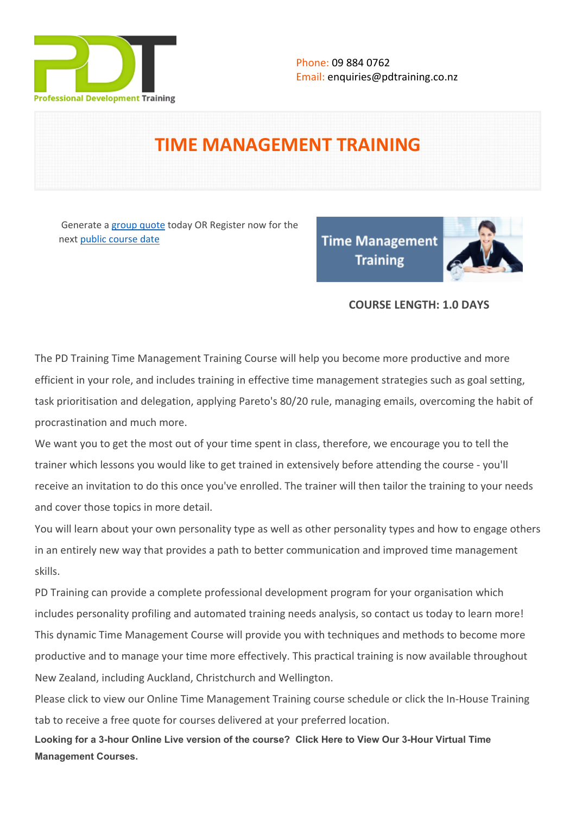

# **TIME MANAGEMENT TRAINING**

Generate a [group quote](https://pdtraining.co.nz/inhouse-training-quote?cse=PDT0028) today OR Register now for the next [public course date](https://pdtraining.co.nz/booking?schedulecode=rZLwUyE6nTxDiGiddMr1JDkCr0cQ6GPmJ6wjwDMR5hyHPspUwpqRoRWXPie4vX9Qem3mk9QK9K5CgNW9LrtRp772jIEozSvhiQCDxcKyIQSNVuRbweteDsBgobcMFCkrpXtzktKIR6iIpugZ0C1uzr&countryCode=NZ¤cyCode=NZ)

**Time Management Training** 



## **COURSE LENGTH: 1.0 DAYS**

The PD Training Time Management Training Course will help you become more productive and more efficient in your role, and includes training in effective time management strategies such as goal setting, task prioritisation and delegation, applying Pareto's 80/20 rule, managing emails, overcoming the habit of procrastination and much more.

We want you to get the most out of your time spent in class, therefore, we encourage you to tell the trainer which lessons you would like to get trained in extensively before attending the course - you'll receive an invitation to do this once you've enrolled. The trainer will then tailor the training to your needs and cover those topics in more detail.

You will learn about your own personality type as well as other personality types and how to engage others in an entirely new way that provides a path to better communication and improved time management skills.

PD Training can provide a complete professional development program for your organisation which includes personality profiling and automated training needs analysis, so contact us today to learn more! This dynamic Time Management Course will provide you with techniques and methods to become more productive and to manage your time more effectively. This practical training is now available throughout New Zealand, including Auckland, Christchurch and Wellington.

Please click to view our [Online Time Management Training course schedule](https://pdtraining.co.nz/remote-live-training-classes/minute-taking-training-course-Online-Instructor-led-3hours) or click the In-House Training tab to receive a free quote for courses delivered at your preferred location.

**Looking for a 3-hour Online Live version of the course? [Click Here to View Our 3-Hour Virtual Time](https://pdtraining.co.nz/remote-live-training-classes/time-management-training-Online-Instructor-led-3hours)  [Management Courses.](https://pdtraining.co.nz/remote-live-training-classes/time-management-training-Online-Instructor-led-3hours)**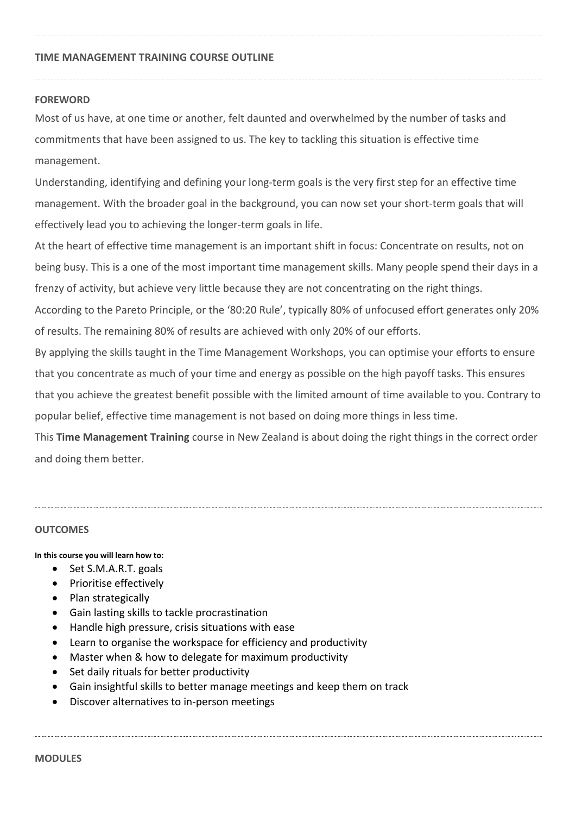#### **TIME MANAGEMENT TRAINING COURSE OUTLINE**

#### **FOREWORD**

Most of us have, at one time or another, felt daunted and overwhelmed by the number of tasks and commitments that have been assigned to us. The key to tackling this situation is effective time management.

Understanding, identifying and defining your long-term goals is the very first step for an effective time management. With the broader goal in the background, you can now set your short-term goals that will effectively lead you to achieving the longer-term goals in life.

At the heart of effective time management is an important shift in focus: Concentrate on results, not on being busy. This is a one of the most important time management skills. Many people spend their days in a frenzy of activity, but achieve very little because they are not concentrating on the right things.

According to the Pareto Principle, or the '80:20 Rule', typically 80% of unfocused effort generates only 20% of results. The remaining 80% of results are achieved with only 20% of our efforts.

By applying the skills taught in the Time Management Workshops, you can optimise your efforts to ensure that you concentrate as much of your time and energy as possible on the high payoff tasks. This ensures that you achieve the greatest benefit possible with the limited amount of time available to you. Contrary to popular belief, effective time management is not based on doing more things in less time.

This **Time Management Training** course in New Zealand is about doing the right things in the correct order and doing them better.

#### **OUTCOMES**

#### **In this course you will learn how to:**

- $\bullet$  Set S.M.A.R.T. goals
- Prioritise effectively
- Plan strategically
- Gain lasting skills to tackle procrastination
- Handle high pressure, crisis situations with ease
- Learn to organise the workspace for efficiency and productivity
- Master when & how to delegate for maximum productivity
- Set daily rituals for better productivity
- Gain insightful skills to better manage meetings and keep them on track
- Discover alternatives to in-person meetings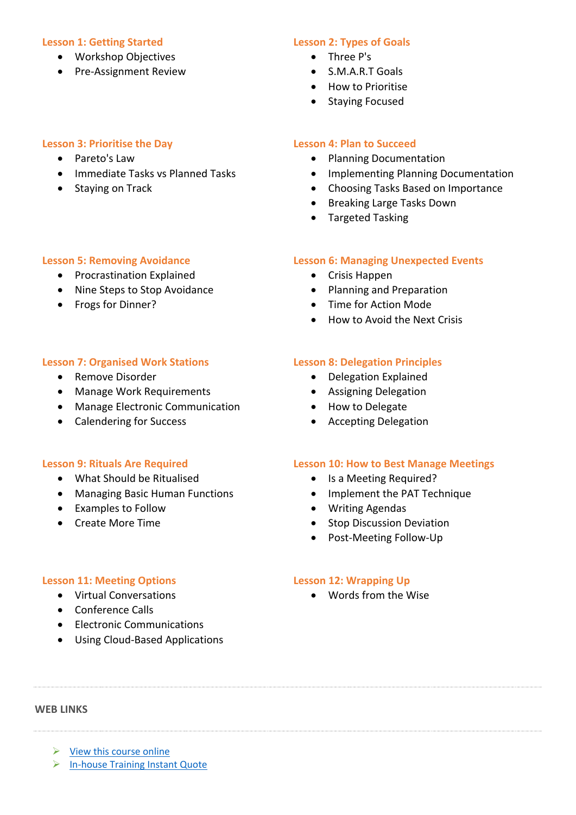#### **Lesson 1: Getting Started**

- Workshop Objectives
- Pre-Assignment Review

## **Lesson 3: Prioritise the Day**

- Pareto's Law
- Immediate Tasks vs Planned Tasks
- Staying on Track

**Lesson 5: Removing Avoidance** • Procrastination Explained • Nine Steps to Stop Avoidance

## **Lesson 2: Types of Goals**

- Three P's
- S.M.A.R.T Goals
- **•** How to Prioritise
- Staying Focused

#### **Lesson 4: Plan to Succeed**

- Planning Documentation
- **•** Implementing Planning Documentation
- Choosing Tasks Based on Importance
- Breaking Large Tasks Down
- Targeted Tasking

#### **Lesson 6: Managing Unexpected Events**

- Crisis Happen
- Planning and Preparation
- Time for Action Mode
- How to Avoid the Next Crisis

#### **Lesson 7: Organised Work Stations**

• Remove Disorder

• Frogs for Dinner?

- Manage Work Requirements
- Manage Electronic Communication
- Calendering for Success

#### **Lesson 9: Rituals Are Required**

- What Should be Ritualised
- Managing Basic Human Functions
- Examples to Follow
- Create More Time

## **Lesson 8: Delegation Principles**

- Delegation Explained
- Assigning Delegation
- How to Delegate
- Accepting Delegation

#### **Lesson 10: How to Best Manage Meetings**

- Is a Meeting Required?
- Implement the PAT Technique
- Writing Agendas
- Stop Discussion Deviation
- Post-Meeting Follow-Up

#### **Lesson 11: Meeting Options**

- Virtual Conversations
- Conference Calls
- Electronic Communications
- Using Cloud-Based Applications

## **Lesson 12: Wrapping Up**

Words from the Wise

#### **WEB LINKS**

- $\triangleright$  [View this course online](https://pdtraining.co.nz/courses/time-management-training-in-auckland-wellington-christchurch-and-new-zealand-wide)
- > [In-house Training Instant Quote](https://pdtraining.co.nz/inhouse-training-quote?cse=PDT0028)